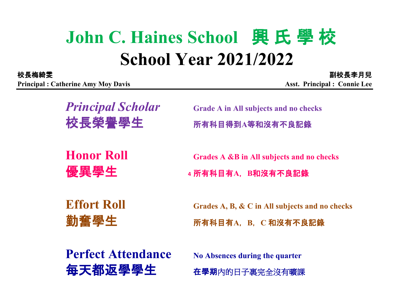## **John C. Haines School** 興 氏 學 校 **School Year 2021/2022**

**Principal : Catherine Amy Moy Davis Asst. Principal : Connie Lee** 

副校長李月兒

*Principal Scholar* **Grade A in All subjects and no checks** 校長榮譽學生 所有科目得到**A**等和沒有不良記錄

**Honor Roll Grades A &B in All subjects and no checks**

●  **4** 所有科目有A, B和沒有不良記錄

**Effort Roll Grades A, B, & C in All subjects and no checks**

勤奮學生 所有科目有**A**,**B**,**C** 和沒有不良記錄

**Perfect Attendance** No Absences during the quarter

每天都返學學生 在學期內的日子裏完全沒有曠課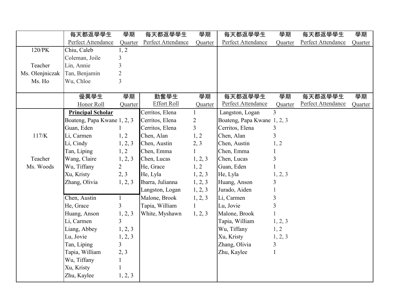| Perfect Attendance<br>Perfect Attendance<br>Perfect Attendance<br>Perfect Attendance<br>Quarter<br>Quarter<br>Quarter<br>120/PK<br>1, 2<br>Chiu, Caleb<br>Coleman, Joile<br>3<br>$\overline{3}$<br>Teacher<br>Lin, Annie<br>$\overline{2}$<br>Ms. Olenjniczak<br>Tan, Benjamin<br>$\overline{3}$<br>Ms. Ho<br>Wu, Chloe<br>學期<br>優異學生<br>學期<br>勤奮學生<br>每天都返學學生<br>學期<br>每天都返學學生<br>學期<br><b>Effort Roll</b><br>Perfect Attendance<br>Perfect Attendance<br>Honor Roll<br>Quarter<br>Quarter<br>Quarter<br>$\overline{3}$<br>Cerritos, Elena<br>Langston, Logan<br><b>Principal Scholar</b><br>$\mathbf{1}$<br>$\overline{2}$<br>Boateng, Papa Kwane 1, 2, 3<br>Cerritos, Elena<br>Boateng, Papa Kwane 1, 2, 3<br>$\overline{3}$<br>Cerritos, Elena<br>Guan, Eden<br>Cerritos, Elena<br>3<br>3<br>117/K<br>Li, Carmen<br>1, 2<br>Chen, Alan<br>Chen, Alan<br>1, 2<br>Li, Cindy<br>1, 2, 3<br>Chen, Austin<br>2, 3<br>Chen, Austin<br>1, 2<br>1, 2<br>Tan, Liping<br>Chen, Emma<br>$\mathbf{1}$<br>Chen, Emma<br>3<br>Teacher<br>Wang, Claire<br>1, 2, 3<br>Chen, Lucas<br>1, 2, 3<br>Chen, Lucas<br>$\overline{2}$<br>1, 2<br>Guan, Eden<br>Ms. Woods<br>Wu, Tiffany<br>He, Grace<br>2, 3<br>1, 2, 3<br>Xu, Kristy<br>He, Lyla<br>He, Lyla<br>1, 2, 3<br>Ibarra, Julianna<br>Huang, Anson<br>Zhang, Olivia<br>1, 2, 3<br>1, 2, 3<br>3<br>Langston, Logan<br>1, 2, 3<br>Jurado, Aiden | 每天都返學學生      | 學期           | 每天都返學學生       | 學期      | 每天都返學學生    | 學期 | 每天都返學學生 | 學期      |
|-------------------------------------------------------------------------------------------------------------------------------------------------------------------------------------------------------------------------------------------------------------------------------------------------------------------------------------------------------------------------------------------------------------------------------------------------------------------------------------------------------------------------------------------------------------------------------------------------------------------------------------------------------------------------------------------------------------------------------------------------------------------------------------------------------------------------------------------------------------------------------------------------------------------------------------------------------------------------------------------------------------------------------------------------------------------------------------------------------------------------------------------------------------------------------------------------------------------------------------------------------------------------------------------------------------------------------------------------------------------------------------|--------------|--------------|---------------|---------|------------|----|---------|---------|
|                                                                                                                                                                                                                                                                                                                                                                                                                                                                                                                                                                                                                                                                                                                                                                                                                                                                                                                                                                                                                                                                                                                                                                                                                                                                                                                                                                                     |              |              |               |         |            |    |         | Quarter |
|                                                                                                                                                                                                                                                                                                                                                                                                                                                                                                                                                                                                                                                                                                                                                                                                                                                                                                                                                                                                                                                                                                                                                                                                                                                                                                                                                                                     |              |              |               |         |            |    |         |         |
|                                                                                                                                                                                                                                                                                                                                                                                                                                                                                                                                                                                                                                                                                                                                                                                                                                                                                                                                                                                                                                                                                                                                                                                                                                                                                                                                                                                     |              |              |               |         |            |    |         |         |
|                                                                                                                                                                                                                                                                                                                                                                                                                                                                                                                                                                                                                                                                                                                                                                                                                                                                                                                                                                                                                                                                                                                                                                                                                                                                                                                                                                                     |              |              |               |         |            |    |         |         |
|                                                                                                                                                                                                                                                                                                                                                                                                                                                                                                                                                                                                                                                                                                                                                                                                                                                                                                                                                                                                                                                                                                                                                                                                                                                                                                                                                                                     |              |              |               |         |            |    |         |         |
|                                                                                                                                                                                                                                                                                                                                                                                                                                                                                                                                                                                                                                                                                                                                                                                                                                                                                                                                                                                                                                                                                                                                                                                                                                                                                                                                                                                     |              |              |               |         |            |    |         |         |
|                                                                                                                                                                                                                                                                                                                                                                                                                                                                                                                                                                                                                                                                                                                                                                                                                                                                                                                                                                                                                                                                                                                                                                                                                                                                                                                                                                                     |              |              |               |         |            |    |         |         |
|                                                                                                                                                                                                                                                                                                                                                                                                                                                                                                                                                                                                                                                                                                                                                                                                                                                                                                                                                                                                                                                                                                                                                                                                                                                                                                                                                                                     |              |              |               |         |            |    |         |         |
|                                                                                                                                                                                                                                                                                                                                                                                                                                                                                                                                                                                                                                                                                                                                                                                                                                                                                                                                                                                                                                                                                                                                                                                                                                                                                                                                                                                     |              |              |               |         |            |    |         | Quarter |
|                                                                                                                                                                                                                                                                                                                                                                                                                                                                                                                                                                                                                                                                                                                                                                                                                                                                                                                                                                                                                                                                                                                                                                                                                                                                                                                                                                                     |              |              |               |         |            |    |         |         |
|                                                                                                                                                                                                                                                                                                                                                                                                                                                                                                                                                                                                                                                                                                                                                                                                                                                                                                                                                                                                                                                                                                                                                                                                                                                                                                                                                                                     |              |              |               |         |            |    |         |         |
|                                                                                                                                                                                                                                                                                                                                                                                                                                                                                                                                                                                                                                                                                                                                                                                                                                                                                                                                                                                                                                                                                                                                                                                                                                                                                                                                                                                     |              |              |               |         |            |    |         |         |
|                                                                                                                                                                                                                                                                                                                                                                                                                                                                                                                                                                                                                                                                                                                                                                                                                                                                                                                                                                                                                                                                                                                                                                                                                                                                                                                                                                                     |              |              |               |         |            |    |         |         |
|                                                                                                                                                                                                                                                                                                                                                                                                                                                                                                                                                                                                                                                                                                                                                                                                                                                                                                                                                                                                                                                                                                                                                                                                                                                                                                                                                                                     |              |              |               |         |            |    |         |         |
|                                                                                                                                                                                                                                                                                                                                                                                                                                                                                                                                                                                                                                                                                                                                                                                                                                                                                                                                                                                                                                                                                                                                                                                                                                                                                                                                                                                     |              |              |               |         |            |    |         |         |
|                                                                                                                                                                                                                                                                                                                                                                                                                                                                                                                                                                                                                                                                                                                                                                                                                                                                                                                                                                                                                                                                                                                                                                                                                                                                                                                                                                                     |              |              |               |         |            |    |         |         |
|                                                                                                                                                                                                                                                                                                                                                                                                                                                                                                                                                                                                                                                                                                                                                                                                                                                                                                                                                                                                                                                                                                                                                                                                                                                                                                                                                                                     |              |              |               |         |            |    |         |         |
|                                                                                                                                                                                                                                                                                                                                                                                                                                                                                                                                                                                                                                                                                                                                                                                                                                                                                                                                                                                                                                                                                                                                                                                                                                                                                                                                                                                     |              |              |               |         |            |    |         |         |
|                                                                                                                                                                                                                                                                                                                                                                                                                                                                                                                                                                                                                                                                                                                                                                                                                                                                                                                                                                                                                                                                                                                                                                                                                                                                                                                                                                                     |              |              |               |         |            |    |         |         |
|                                                                                                                                                                                                                                                                                                                                                                                                                                                                                                                                                                                                                                                                                                                                                                                                                                                                                                                                                                                                                                                                                                                                                                                                                                                                                                                                                                                     |              |              |               |         |            |    |         |         |
|                                                                                                                                                                                                                                                                                                                                                                                                                                                                                                                                                                                                                                                                                                                                                                                                                                                                                                                                                                                                                                                                                                                                                                                                                                                                                                                                                                                     | Chen, Austin | $\mathbf{1}$ | Malone, Brook | 1, 2, 3 | Li, Carmen | 3  |         |         |
| $\overline{\mathbf{3}}$<br>$\overline{3}$<br>$\mathbf{1}$<br>He, Grace<br>Tapia, William<br>Lu, Jovie                                                                                                                                                                                                                                                                                                                                                                                                                                                                                                                                                                                                                                                                                                                                                                                                                                                                                                                                                                                                                                                                                                                                                                                                                                                                               |              |              |               |         |            |    |         |         |
| White, Myshawn<br>1, 2, 3<br>Huang, Anson<br>1, 2, 3<br>Malone, Brook                                                                                                                                                                                                                                                                                                                                                                                                                                                                                                                                                                                                                                                                                                                                                                                                                                                                                                                                                                                                                                                                                                                                                                                                                                                                                                               |              |              |               |         |            |    |         |         |
| $\overline{3}$<br>Li, Carmen<br>Tapia, William<br>1, 2, 3                                                                                                                                                                                                                                                                                                                                                                                                                                                                                                                                                                                                                                                                                                                                                                                                                                                                                                                                                                                                                                                                                                                                                                                                                                                                                                                           |              |              |               |         |            |    |         |         |
| 1, 2<br>Liang, Abbey<br>Wu, Tiffany<br>1, 2, 3                                                                                                                                                                                                                                                                                                                                                                                                                                                                                                                                                                                                                                                                                                                                                                                                                                                                                                                                                                                                                                                                                                                                                                                                                                                                                                                                      |              |              |               |         |            |    |         |         |
| Xu, Kristy<br>Lu, Jovie<br>1, 2, 3<br>1, 2, 3                                                                                                                                                                                                                                                                                                                                                                                                                                                                                                                                                                                                                                                                                                                                                                                                                                                                                                                                                                                                                                                                                                                                                                                                                                                                                                                                       |              |              |               |         |            |    |         |         |
| $\overline{3}$<br>Zhang, Olivia<br>Tan, Liping<br>3                                                                                                                                                                                                                                                                                                                                                                                                                                                                                                                                                                                                                                                                                                                                                                                                                                                                                                                                                                                                                                                                                                                                                                                                                                                                                                                                 |              |              |               |         |            |    |         |         |
| Tapia, William<br>Zhu, Kaylee<br>2, 3<br>$\mathbf{1}$                                                                                                                                                                                                                                                                                                                                                                                                                                                                                                                                                                                                                                                                                                                                                                                                                                                                                                                                                                                                                                                                                                                                                                                                                                                                                                                               |              |              |               |         |            |    |         |         |
| Wu, Tiffany<br>$\mathbf{1}$                                                                                                                                                                                                                                                                                                                                                                                                                                                                                                                                                                                                                                                                                                                                                                                                                                                                                                                                                                                                                                                                                                                                                                                                                                                                                                                                                         |              |              |               |         |            |    |         |         |
| Xu, Kristy                                                                                                                                                                                                                                                                                                                                                                                                                                                                                                                                                                                                                                                                                                                                                                                                                                                                                                                                                                                                                                                                                                                                                                                                                                                                                                                                                                          |              |              |               |         |            |    |         |         |
| Zhu, Kaylee<br>1, 2, 3                                                                                                                                                                                                                                                                                                                                                                                                                                                                                                                                                                                                                                                                                                                                                                                                                                                                                                                                                                                                                                                                                                                                                                                                                                                                                                                                                              |              |              |               |         |            |    |         |         |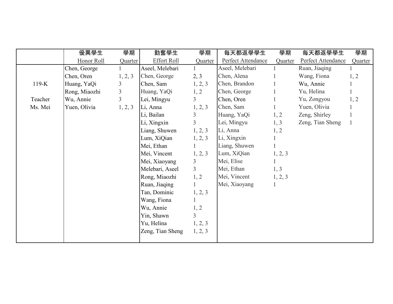|         | 優異學生          | 學期             | 勤奮學生               | 學期             | 每天都返學學生            | 學期           | 每天都返學學生            | 學期           |
|---------|---------------|----------------|--------------------|----------------|--------------------|--------------|--------------------|--------------|
|         | Honor Roll    | Quarter        | <b>Effort Roll</b> | Quarter        | Perfect Attendance | Quarter      | Perfect Attendance | Quarter      |
|         | Chen, George  |                | Aseel, Melebari    |                | Aseel, Melebari    |              | Ruan, Jiaqing      |              |
|         | Chen, Oren    | 1, 2, 3        | Chen, George       | 2, 3           | Chen, Alena        |              | Wang, Fiona        | 1, 2         |
| $119-K$ | Huang, YaQi   | 3              | Chen, Sam          | 1, 2, 3        | Chen, Brandon      |              | Wu, Annie          |              |
|         | Rong, Miaozhi | $\mathfrak{Z}$ | Huang, YaQi        | 1, 2           | Chen, George       |              | Yu, Helina         |              |
| Teacher | Wu, Annie     | 3              | Lei, Mingyu        | $\overline{3}$ | Chen, Oren         |              | Yu, Zongyou        | 1, 2         |
| Ms. Mei | Yuen, Olivia  | 1, 2, 3        | Li, Anna           | 1, 2, 3        | Chen, Sam          |              | Yuen, Olivia       |              |
|         |               |                | Li, Bailan         | 3              | Huang, YaQi        | 1, 2         | Zeng, Shirley      |              |
|         |               |                | Li, Xingxin        | $\overline{3}$ | Lei, Mingyu        | 1, 3         | Zeng, Tian Sheng   | $\mathbf{1}$ |
|         |               |                | Liang, Shuwen      | 1, 2, 3        | Li, Anna           | 1, 2         |                    |              |
|         |               |                | Lum, XiQian        | 1, 2, 3        | Li, Xingxin        |              |                    |              |
|         |               |                | Mei, Ethan         |                | Liang, Shuwen      |              |                    |              |
|         |               |                | Mei, Vincent       | 1, 2, 3        | Lum, XiQian        | 1, 2, 3      |                    |              |
|         |               |                | Mei, Xiaoyang      | 3              | Mei, Elise         |              |                    |              |
|         |               |                | Melebari, Aseel    | $\overline{3}$ | Mei, Ethan         | 1, 3         |                    |              |
|         |               |                | Rong, Miaozhi      | 1, 2           | Mei, Vincent       | 1, 2, 3      |                    |              |
|         |               |                | Ruan, Jiaqing      |                | Mei, Xiaoyang      | $\mathbf{1}$ |                    |              |
|         |               |                | Tan, Dominic       | 1, 2, 3        |                    |              |                    |              |
|         |               |                | Wang, Fiona        |                |                    |              |                    |              |
|         |               |                | Wu, Annie          | 1, 2           |                    |              |                    |              |
|         |               |                | Yin, Shawn         | $\overline{3}$ |                    |              |                    |              |
|         |               |                | Yu, Helina         | 1, 2, 3        |                    |              |                    |              |
|         |               |                | Zeng, Tian Sheng   | 1, 2, 3        |                    |              |                    |              |
|         |               |                |                    |                |                    |              |                    |              |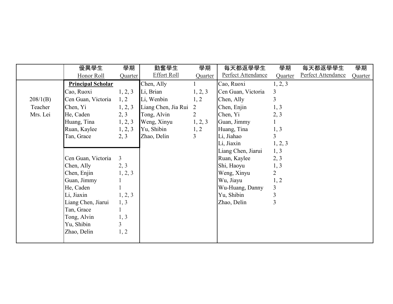|          | 優異學生                     | 學期             | 勤奮學生                | 學期             | 每天都返學學生            | 學期             | 每天都返學學生            | 學期      |
|----------|--------------------------|----------------|---------------------|----------------|--------------------|----------------|--------------------|---------|
|          | Honor Roll               | Quarter        | <b>Effort Roll</b>  | Quarter        | Perfect Attendance | Quarter        | Perfect Attendance | Quarter |
|          | <b>Principal Scholar</b> |                | Chen, Ally          |                | Cao, Ruoxi         | 1, 2, 3        |                    |         |
|          | Cao, Ruoxi               | 1, 2, 3        | Li, Brian           | 1, 2, 3        | Cen Guan, Victoria | 3              |                    |         |
| 208/1(B) | Cen Guan, Victoria       | 1, 2           | Li, Wenbin          | 1, 2           | Chen, Ally         | $\overline{3}$ |                    |         |
| Teacher  | Chen, Yi                 | 1, 2, 3        | Liang Chen, Jia Rui | 2              | Chen, Enjin        | 1, 3           |                    |         |
| Mrs. Lei | He, Caden                | 2, 3           | Tong, Alvin         | $\overline{2}$ | Chen, Yi           | 2, 3           |                    |         |
|          | Huang, Tina              | 1, 2, 3        | Weng, Xinyu         | 1, 2, 3        | Guan, Jimmy        |                |                    |         |
|          | Ruan, Kaylee             | 1, 2, 3        | Yu, Shibin          | 1, 2           | Huang, Tina        | 1, 3           |                    |         |
|          | Tan, Grace               | 2, 3           | Zhao, Delin         | $\overline{3}$ | Li, Jiahao         | $\overline{3}$ |                    |         |
|          |                          |                |                     |                | Li, Jiaxin         | 1, 2, 3        |                    |         |
|          |                          |                |                     |                | Liang Chen, Jiarui | 1, 3           |                    |         |
|          | Cen Guan, Victoria       | $\overline{3}$ |                     |                | Ruan, Kaylee       | 2, 3           |                    |         |
|          | Chen, Ally               | 2, 3           |                     |                | Shi, Haoyu         | 1, 3           |                    |         |
|          | Chen, Enjin              | 1, 2, 3        |                     |                | Weng, Xinyu        | $\overline{2}$ |                    |         |
|          | Guan, Jimmy              |                |                     |                | Wu, Jiayu          | 1, 2           |                    |         |
|          | He, Caden                |                |                     |                | Wu-Huang, Danny    | 3              |                    |         |
|          | Li, Jiaxin               | 1, 2, 3        |                     |                | Yu, Shibin         | 3              |                    |         |
|          | Liang Chen, Jiarui       | 1, 3           |                     |                | Zhao, Delin        | 3              |                    |         |
|          | Tan, Grace               |                |                     |                |                    |                |                    |         |
|          | Tong, Alvin              | 1, 3           |                     |                |                    |                |                    |         |
|          | Yu, Shibin               | $\overline{3}$ |                     |                |                    |                |                    |         |
|          | Zhao, Delin              | 1, 2           |                     |                |                    |                |                    |         |
|          |                          |                |                     |                |                    |                |                    |         |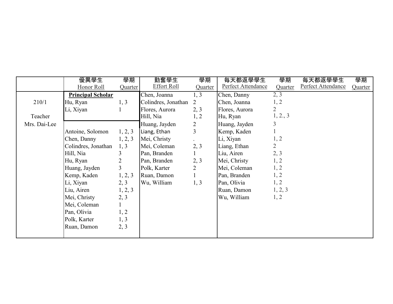|              | 優異學生                     | 學期             | 勤奮學生                | 學期             | 每天都返學學生            | 學期             | 每天都返學學生            | 學期      |
|--------------|--------------------------|----------------|---------------------|----------------|--------------------|----------------|--------------------|---------|
|              | Honor Roll               | Quarter        | <b>Effort Roll</b>  | Quarter        | Perfect Attendance | Quarter        | Perfect Attendance | Quarter |
|              | <b>Principal Scholar</b> |                | Chen, Joanna        | 1, 3           | Chen, Danny        | 2, 3           |                    |         |
| 210/1        | Hu, Ryan                 | 1, 3           | Colindres, Jonathan | 2              | Chen, Joanna       | 1, 2           |                    |         |
|              | Li, Xiyan                |                | Flores, Aurora      | 2, 3           | Flores, Aurora     | $\overline{2}$ |                    |         |
| Teacher      |                          |                | Hill, Nia           | 1, 2           | Hu, Ryan           | 1, 2., 3       |                    |         |
| Mrs. Dai-Lee |                          |                | Huang, Jayden       | 2              | Huang, Jayden      | 3              |                    |         |
|              | Antoine, Solomon         | 1, 2, 3        | Liang, Ethan        | $\overline{3}$ | Kemp, Kaden        |                |                    |         |
|              | Chen, Danny              | 1, 2, 3        | Mei, Christy        |                | Li, Xiyan          | 1, 2           |                    |         |
|              | Colindres, Jonathan      | 1, 3           | Mei, Coleman        | 2, 3           | Liang, Ethan       | $\overline{2}$ |                    |         |
|              | Hill, Nia                | 3              | Pan, Branden        |                | Liu, Airen         | 2, 3           |                    |         |
|              | Hu, Ryan                 | 2              | Pan, Branden        | 2, 3           | Mei, Christy       | 1, 2           |                    |         |
|              | Huang, Jayden            | $\overline{3}$ | Polk, Karter        | $\overline{2}$ | Mei, Coleman       | 1, 2           |                    |         |
|              | Kemp, Kaden              | 1, 2, 3        | Ruan, Damon         |                | Pan, Branden       | 1, 2           |                    |         |
|              | Li, Xiyan                | 2, 3           | Wu, William         | 1, 3           | Pan, Olivia        | 1, 2           |                    |         |
|              | Liu, Airen               | 1, 2, 3        |                     |                | Ruan, Damon        | 1, 2, 3        |                    |         |
|              | Mei, Christy             | 2, 3           |                     |                | Wu, William        | 1, 2           |                    |         |
|              | Mei, Coleman             |                |                     |                |                    |                |                    |         |
|              | Pan, Olivia              | 1, 2           |                     |                |                    |                |                    |         |
|              | Polk, Karter             | 1, 3           |                     |                |                    |                |                    |         |
|              | Ruan, Damon              | 2, 3           |                     |                |                    |                |                    |         |
|              |                          |                |                     |                |                    |                |                    |         |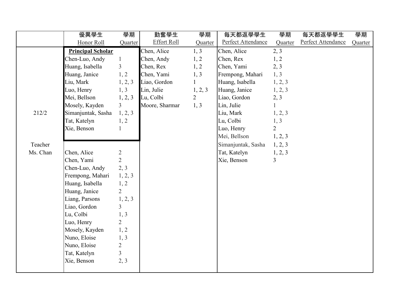|          | 優異學生                     | 學期             | 勤奮學生               | 學期             | 每天都返學學生            | 學期             | 每天都返學學生            | 學期      |
|----------|--------------------------|----------------|--------------------|----------------|--------------------|----------------|--------------------|---------|
|          | Honor Roll               | Quarter        | <b>Effort Roll</b> | Quarter        | Perfect Attendance | Quarter        | Perfect Attendance | Quarter |
|          | <b>Principal Scholar</b> |                | Chen, Alice        | 1, 3           | Chen, Alice        | 2, 3           |                    |         |
|          | Chen-Luo, Andy           | $\mathbf{1}$   | Chen, Andy         | 1, 2           | Chen, Rex          | 1, 2           |                    |         |
|          | Huang, Isabella          | $\mathfrak{Z}$ | Chen, Rex          | 1, 2           | Chen, Yami         | 2, 3           |                    |         |
|          | Huang, Janice            | 1, 2           | Chen, Yami         | 1, 3           | Frempong, Mahari   | 1, 3           |                    |         |
|          | Liu, Mark                | 1, 2, 3        | Liao, Gordon       | $\mathbf{1}$   | Huang, Isabella    | 1, 2, 3        |                    |         |
|          | Luo, Henry               | 1, 3           | Lin, Julie         | 1, 2, 3        | Huang, Janice      | 1, 2, 3        |                    |         |
|          | Mei, Bellson             | 1, 2, 3        | Lu, Colbi          | $\overline{2}$ | Liao, Gordon       | 2, 3           |                    |         |
|          | Mosely, Kayden           | $\overline{3}$ | Moore, Sharmar     | 1, 3           | Lin, Julie         | $\mathbf{1}$   |                    |         |
| 212/2    | Simanjuntak, Sasha       | 1, 2, 3        |                    |                | Liu, Mark          | 1, 2, 3        |                    |         |
|          | Tat, Katelyn             | 1, 2           |                    |                | Lu, Colbi          | 1, 3           |                    |         |
|          | Xie, Benson              | $\mathbf{1}$   |                    |                | Luo, Henry         | $\overline{2}$ |                    |         |
|          |                          |                |                    |                | Mei, Bellson       | 1, 2, 3        |                    |         |
| Teacher  |                          |                |                    |                | Simanjuntak, Sasha | 1, 2, 3        |                    |         |
| Ms. Chan | Chen, Alice              | $\overline{2}$ |                    |                | Tat, Katelyn       | 1, 2, 3        |                    |         |
|          | Chen, Yami               | $\overline{2}$ |                    |                | Xie, Benson        | $\overline{3}$ |                    |         |
|          | Chen-Luo, Andy           | 2, 3           |                    |                |                    |                |                    |         |
|          | Frempong, Mahari         | 1, 2, 3        |                    |                |                    |                |                    |         |
|          | Huang, Isabella          | 1, 2           |                    |                |                    |                |                    |         |
|          | Huang, Janice            | $\overline{2}$ |                    |                |                    |                |                    |         |
|          | Liang, Parsons           | 1, 2, 3        |                    |                |                    |                |                    |         |
|          | Liao, Gordon             | $\overline{3}$ |                    |                |                    |                |                    |         |
|          | Lu, Colbi                | 1, 3           |                    |                |                    |                |                    |         |
|          | Luo, Henry               | $\overline{2}$ |                    |                |                    |                |                    |         |
|          | Mosely, Kayden           | 1, 2           |                    |                |                    |                |                    |         |
|          | Nuno, Eloise             | 1, 3           |                    |                |                    |                |                    |         |
|          | Nuno, Eloise             | $\overline{2}$ |                    |                |                    |                |                    |         |
|          | Tat, Katelyn             | $\overline{3}$ |                    |                |                    |                |                    |         |
|          | Xie, Benson              | 2, 3           |                    |                |                    |                |                    |         |
|          |                          |                |                    |                |                    |                |                    |         |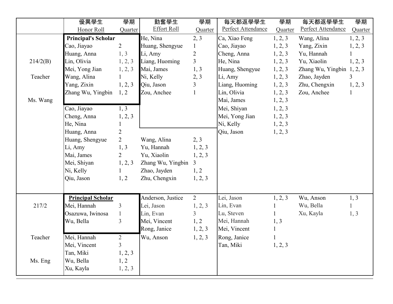|          | 優異學生                       | 學期             | 勤奮學生               | 學期             | 每天都返學學生            | 學期           | 每天都返學學生                   | 學期      |
|----------|----------------------------|----------------|--------------------|----------------|--------------------|--------------|---------------------------|---------|
|          | Honor Roll                 | Quarter        | <b>Effort Roll</b> | Quarter        | Perfect Attendance | Quarter      | Perfect Attendance        | Quarter |
|          | <b>Principal's Scholar</b> |                | He, Nina           | 2, 3           | Ca, Xiao Feng      | 1, 2, 3      | Wang, Alina               | 1, 2, 3 |
|          | Cao, Jiayao                | $\overline{2}$ | Huang, Shengyue    | $\mathbf{1}$   | Cao, Jiayao        | 1, 2, 3      | Yang, Zixin               | 1, 2, 3 |
|          | Huang, Anna                | 1, 3           | Li, Amy            | $\overline{2}$ | Cheng, Anna        | 1, 2, 3      | Yu, Hannah                |         |
| 214/2(B) | Lin, Olivia                | 1, 2, 3        | Liang, Huoming     | $\overline{3}$ | He, Nina           | 1, 2, 3      | Yu, Xiaolin               | 1, 2, 3 |
|          | Mei, Yong Jian             | 1, 2, 3        | Mai, James         | 1, 3           | Huang, Shengyue    | 1, 2, 3      | Zhang Wu, Yingbin 1, 2, 3 |         |
| Teacher  | Wang, Alina                |                | Ni, Kelly          | 2, 3           | Li, Amy            | 1, 2, 3      | Zhao, Jayden              | 3       |
|          | Yang, Zixin                | 1, 2, 3        | Qiu, Jason         | 3              | Liang, Huoming     | 1, 2, 3      | Zhu, Chengxin             | 1, 2, 3 |
|          | Zhang Wu, Yingbin          | 1, 2           | Zou, Anchee        | $\mathbf{1}$   | Lin, Olivia        | 1, 2, 3      | Zou, Anchee               |         |
| Ms. Wang |                            |                |                    |                | Mai, James         | 1, 2, 3      |                           |         |
|          | Cao, Jiayao                | 1, 3           |                    |                | Mei, Shiyan        | 1, 2, 3      |                           |         |
|          | Cheng, Anna                | 1, 2, 3        |                    |                | Mei, Yong Jian     | 1, 2, 3      |                           |         |
|          | He, Nina                   | $\mathbf{1}$   |                    |                | Ni, Kelly          | 1, 2, 3      |                           |         |
|          | Huang, Anna                | $\overline{2}$ |                    |                | Qiu, Jason         | 1, 2, 3      |                           |         |
|          | Huang, Shengyue            | $\overline{2}$ | Wang, Alina        | 2, 3           |                    |              |                           |         |
|          | Li, Amy                    | 1, 3           | Yu, Hannah         | 1, 2, 3        |                    |              |                           |         |
|          | Mai, James                 | $\overline{2}$ | Yu, Xiaolin        | 1, 2, 3        |                    |              |                           |         |
|          | Mei, Shiyan                | 1, 2, 3        | Zhang Wu, Yingbin  | 3              |                    |              |                           |         |
|          | Ni, Kelly                  | $\mathbf{1}$   | Zhao, Jayden       | 1, 2           |                    |              |                           |         |
|          | Qiu, Jason                 | 1, 2           | Zhu, Chengxin      | 1, 2, 3        |                    |              |                           |         |
|          |                            |                |                    |                |                    |              |                           |         |
|          | <b>Principal Scholar</b>   |                | Anderson, Justice  | $\overline{2}$ | Lei, Jason         | 1, 2, 3      | Wu, Anson                 | 1, 3    |
| 217/2    | Mei, Hannah                | $\overline{3}$ | Lei, Jason         | 1, 2, 3        | Lin, Evan          | $\mathbf{1}$ | Wu, Bella                 |         |
|          | Osazuwa, Iwinosa           | $\mathbf{1}$   | Lin, Evan          | $\overline{3}$ | Lu, Steven         | $\mathbf{1}$ | Xu, Kayla                 | 1, 3    |
|          | Wu, Bella                  | $\overline{3}$ | Mei, Vincent       | 1, 2           | Mei, Hannah        | 1, 3         |                           |         |
|          |                            |                | Rong, Janice       | 1, 2, 3        | Mei, Vincent       | $\mathbf{1}$ |                           |         |
| Teacher  | Mei, Hannah                | $\overline{2}$ | Wu, Anson          | 1, 2, 3        | Rong, Janice       |              |                           |         |
|          | Mei, Vincent               | $\mathfrak{Z}$ |                    |                | Tan, Miki          | 1, 2, 3      |                           |         |
|          | Tan, Miki                  | 1, 2, 3        |                    |                |                    |              |                           |         |
| Ms. Eng  | Wu, Bella                  | 1, 2           |                    |                |                    |              |                           |         |
|          | Xu, Kayla                  | 1, 2, 3        |                    |                |                    |              |                           |         |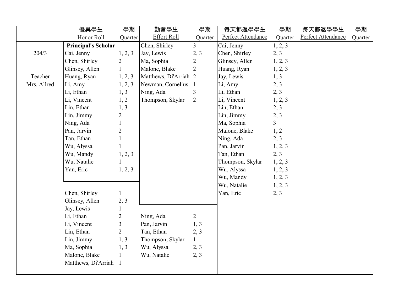|             | 優異學生                       | 學期             | 勤奮學生                  | 學期             | 每天都返學學生            | 學期             | 每天都返學學生            | 學期      |
|-------------|----------------------------|----------------|-----------------------|----------------|--------------------|----------------|--------------------|---------|
|             | Honor Roll                 | Quarter        | <b>Effort Roll</b>    | Quarter        | Perfect Attendance | Quarter        | Perfect Attendance | Quarter |
|             | <b>Principal's Scholar</b> |                | Chen, Shirley         | $\overline{3}$ | Cai, Jenny         | 1, 2, 3        |                    |         |
| 204/3       | Cai, Jenny                 | 1, 2, 3        | Jay, Lewis            | 2, 3           | Chen, Shirley      | 2, 3           |                    |         |
|             | Chen, Shirley              | $\overline{2}$ | Ma, Sophia            | $\overline{2}$ | Glinsey, Allen     | 1, 2, 3        |                    |         |
|             | Glinsey, Allen             |                | Malone, Blake         | $\overline{2}$ | Huang, Ryan        | 1, 2, 3        |                    |         |
| Teacher     | Huang, Ryan                | 1, 2, 3        | Matthews, Di'Arriah 2 |                | Jay, Lewis         | 1, 3           |                    |         |
| Mrs. Allred | Li, Amy                    | 1, 2, 3        | Newman, Cornelius     | $\mathbf{1}$   | Li, Amy            | 2, 3           |                    |         |
|             | Li, Ethan                  | 1, 3           | Ning, Ada             | 3              | Li, Ethan          | 2, 3           |                    |         |
|             | Li, Vincent                | 1, 2           | Thompson, Skylar      | $\overline{2}$ | Li, Vincent        | 1, 2, 3        |                    |         |
|             | Lin, Ethan                 | 1, 3           |                       |                | Lin, Ethan         | 2, 3           |                    |         |
|             | Lin, Jimmy                 | $\overline{2}$ |                       |                | Lin, Jimmy         | 2, 3           |                    |         |
|             | Ning, Ada                  | $\mathbf{1}$   |                       |                | Ma, Sophia         | $\overline{3}$ |                    |         |
|             | Pan, Jarvin                | $\overline{c}$ |                       |                | Malone, Blake      | 1, 2           |                    |         |
|             | Tan, Ethan                 | $\mathbf{1}$   |                       |                | Ning, Ada          | 2, 3           |                    |         |
|             | Wu, Alyssa                 |                |                       |                | Pan, Jarvin        | 1, 2, 3        |                    |         |
|             | Wu, Mandy                  | 1, 2, 3        |                       |                | Tan, Ethan         | 2, 3           |                    |         |
|             | Wu, Natalie                |                |                       |                | Thompson, Skylar   | 1, 2, 3        |                    |         |
|             | Yan, Eric                  | 1, 2, 3        |                       |                | Wu, Alyssa         | 1, 2, 3        |                    |         |
|             |                            |                |                       |                | Wu, Mandy          | 1, 2, 3        |                    |         |
|             |                            |                |                       |                | Wu, Natalie        | 1, 2, 3        |                    |         |
|             | Chen, Shirley              | $\mathbf{1}$   |                       |                | Yan, Eric          | 2, 3           |                    |         |
|             | Glinsey, Allen             | 2, 3           |                       |                |                    |                |                    |         |
|             | Jay, Lewis                 |                |                       |                |                    |                |                    |         |
|             | Li, Ethan                  | $\overline{2}$ | Ning, Ada             | $\overline{2}$ |                    |                |                    |         |
|             | Li, Vincent                | $\overline{3}$ | Pan, Jarvin           | 1, 3           |                    |                |                    |         |
|             | Lin, Ethan                 | $\overline{2}$ | Tan, Ethan            | 2, 3           |                    |                |                    |         |
|             | Lin, Jimmy                 | 1, 3           | Thompson, Skylar      | $\mathbf{1}$   |                    |                |                    |         |
|             | Ma, Sophia                 | 1, 3           | Wu, Alyssa            | 2, 3           |                    |                |                    |         |
|             | Malone, Blake              |                | Wu, Natalie           | 2, 3           |                    |                |                    |         |
|             | Matthews, Di'Arriah 1      |                |                       |                |                    |                |                    |         |
|             |                            |                |                       |                |                    |                |                    |         |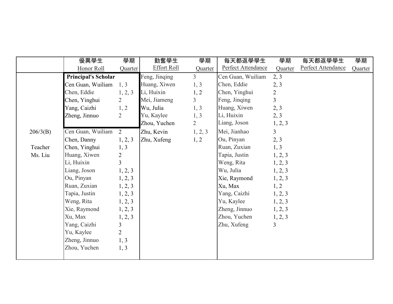|          | 優異學生                       | 學期                      | 勤奮學生               | 學期             | 每天都返學學生            | 學期             | 每天都返學學生            | 學期      |
|----------|----------------------------|-------------------------|--------------------|----------------|--------------------|----------------|--------------------|---------|
|          | Honor Roll                 | Quarter                 | <b>Effort Roll</b> | Quarter        | Perfect Attendance | Quarter        | Perfect Attendance | Quarter |
|          | <b>Principal's Scholar</b> |                         | Feng, Jinqing      | $\overline{3}$ | Cen Guan, Wuiliam  | 2, 3           |                    |         |
|          | Cen Guan, Wuiliam          | 1, 3                    | Huang, Xiwen       | 1, 3           | Chen, Eddie        | 2, 3           |                    |         |
|          | Chen, Eddie                | 1, 2, 3                 | Li, Huixin         | 1, 2           | Chen, Yinghui      | $\overline{2}$ |                    |         |
|          | Chen, Yinghui              | $\overline{2}$          | Mei, Jiameng       | $\overline{3}$ | Feng, Jinqing      | 3              |                    |         |
|          | Yang, Caizhi               | 1, 2                    | Wu, Julia          | 1, 3           | Huang, Xiwen       | 2, 3           |                    |         |
|          | Zheng, Jinnuo              | $\overline{2}$          | Yu, Kaylee         | 1, 3           | Li, Huixin         | 2, 3           |                    |         |
|          |                            |                         | Zhou, Yuchen       | $\overline{2}$ | Liang, Joson       | 1, 2, 3        |                    |         |
| 206/3(B) | Cen Guan, Wuiliam          | 2                       | Zhu, Kevin         | 1, 2, 3        | Mei, Jianhao       | $\overline{3}$ |                    |         |
|          | Chen, Danny                | 1, 2, 3                 | Zhu, Xufeng        | 1, 2           | Ou, Pinyan         | 2, 3           |                    |         |
| Teacher  | Chen, Yinghui              | 1, 3                    |                    |                | Ruan, Zuxian       | 1, 3           |                    |         |
| Ms. Liu  | Huang, Xiwen               | $\overline{2}$          |                    |                | Tapia, Justin      | 1, 2, 3        |                    |         |
|          | Li, Huixin                 | $\overline{3}$          |                    |                | Weng, Rita         | 1, 2, 3        |                    |         |
|          | Liang, Joson               | 1, 2, 3                 |                    |                | Wu, Julia          | 1, 2, 3        |                    |         |
|          | Ou, Pinyan                 | 1, 2, 3                 |                    |                | Xie, Raymond       | 1, 2, 3        |                    |         |
|          | Ruan, Zuxian               | 1, 2, 3                 |                    |                | Xu, Max            | 1, 2           |                    |         |
|          | Tapia, Justin              | 1, 2, 3                 |                    |                | Yang, Caizhi       | 1, 2, 3        |                    |         |
|          | Weng, Rita                 | 1, 2, 3                 |                    |                | Yu, Kaylee         | 1, 2, 3        |                    |         |
|          | Xie, Raymond               | 1, 2, 3                 |                    |                | Zheng, Jinnuo      | 1, 2, 3        |                    |         |
|          | Xu, Max                    | 1, 2, 3                 |                    |                | Zhou, Yuchen       | 1, 2, 3        |                    |         |
|          | Yang, Caizhi               | $\overline{\mathbf{3}}$ |                    |                | Zhu, Xufeng        | 3              |                    |         |
|          | Yu, Kaylee                 | $\overline{2}$          |                    |                |                    |                |                    |         |
|          | Zheng, Jinnuo              | 1, 3                    |                    |                |                    |                |                    |         |
|          | Zhou, Yuchen               | 1, 3                    |                    |                |                    |                |                    |         |
|          |                            |                         |                    |                |                    |                |                    |         |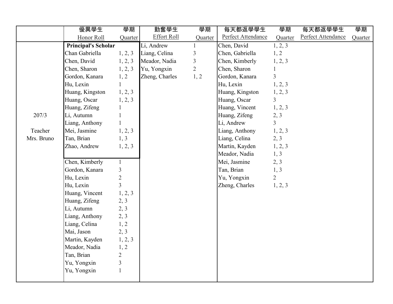|            | 優異學生                       | 學期             | 勤奮學生               | 學期             | 每天都返學學生            | 學期             | 每天都返學學生            | 學期      |
|------------|----------------------------|----------------|--------------------|----------------|--------------------|----------------|--------------------|---------|
|            | Honor Roll                 | Quarter        | <b>Effort Roll</b> | Quarter        | Perfect Attendance | Quarter        | Perfect Attendance | Quarter |
|            | <b>Principal's Scholar</b> |                | Li, Andrew         |                | Chen, David        | 1, 2, 3        |                    |         |
|            | Chan Gabriella             | 1, 2, 3        | Liang, Celina      | $\mathfrak{Z}$ | Chen, Gabriella    | 1, 2           |                    |         |
|            | Chen, David                | 1, 2, 3        | Meador, Nadia      | $\overline{3}$ | Chen, Kimberly     | 1, 2, 3        |                    |         |
|            | Chen, Sharon               | 1, 2, 3        | Yu, Yongxin        | $\overline{2}$ | Chen, Sharon       | $\mathbf{1}$   |                    |         |
|            | Gordon, Kanara             | 1, 2           | Zheng, Charles     | 1, 2           | Gordon, Kanara     | $\overline{3}$ |                    |         |
|            | Hu, Lexin                  | 1              |                    |                | Hu, Lexin          | 1, 2, 3        |                    |         |
|            | Huang, Kingston            | 1, 2, 3        |                    |                | Huang, Kingston    | 1, 2, 3        |                    |         |
|            | Huang, Oscar               | 1, 2, 3        |                    |                | Huang, Oscar       | $\overline{3}$ |                    |         |
|            | Huang, Zifeng              |                |                    |                | Huang, Vincent     | 1, 2, 3        |                    |         |
| 207/3      | Li, Autumn                 | 1              |                    |                | Huang, Zifeng      | 2, 3           |                    |         |
|            | Liang, Anthony             |                |                    |                | Li, Andrew         | $\mathfrak{Z}$ |                    |         |
| Teacher    | Mei, Jasmine               | 1, 2, 3        |                    |                | Liang, Anthony     | 1, 2, 3        |                    |         |
| Mrs. Bruno | Tan, Brian                 | 1, 3           |                    |                | Liang, Celina      | 2, 3           |                    |         |
|            | Zhao, Andrew               | 1, 2, 3        |                    |                | Martin, Kayden     | 1, 2, 3        |                    |         |
|            |                            |                |                    |                | Meador, Nadia      | 1, 3           |                    |         |
|            | Chen, Kimberly             | $\mathbf{1}$   |                    |                | Mei, Jasmine       | 2, 3           |                    |         |
|            | Gordon, Kanara             | $\mathfrak{Z}$ |                    |                | Tan, Brian         | 1, 3           |                    |         |
|            | Hu, Lexin                  | $\overline{2}$ |                    |                | Yu, Yongxin        | $\overline{2}$ |                    |         |
|            | Hu, Lexin                  | $\overline{3}$ |                    |                | Zheng, Charles     | 1, 2, 3        |                    |         |
|            | Huang, Vincent             | 1, 2, 3        |                    |                |                    |                |                    |         |
|            | Huang, Zifeng              | 2, 3           |                    |                |                    |                |                    |         |
|            | Li, Autumn                 | 2, 3           |                    |                |                    |                |                    |         |
|            | Liang, Anthony             | 2, 3           |                    |                |                    |                |                    |         |
|            | Liang, Celina              | 1, 2           |                    |                |                    |                |                    |         |
|            | Mai, Jason                 | 2, 3           |                    |                |                    |                |                    |         |
|            | Martin, Kayden             | 1, 2, 3        |                    |                |                    |                |                    |         |
|            | Meador, Nadia              | 1, 2           |                    |                |                    |                |                    |         |
|            | Tan, Brian                 | $\overline{2}$ |                    |                |                    |                |                    |         |
|            | Yu, Yongxin                | $\overline{3}$ |                    |                |                    |                |                    |         |
|            | Yu, Yongxin                | $\mathbf{1}$   |                    |                |                    |                |                    |         |
|            |                            |                |                    |                |                    |                |                    |         |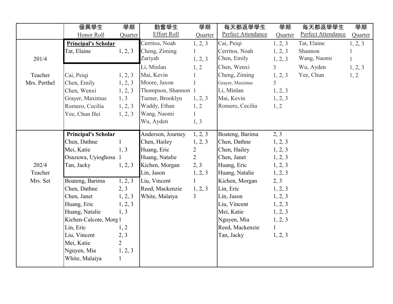|              | 優異學生                       | 學期             | 勤奮學生                | 學期             | 每天都返學學生            | 學期             | 每天都返學學生            | 學期           |
|--------------|----------------------------|----------------|---------------------|----------------|--------------------|----------------|--------------------|--------------|
|              | Honor Roll                 | Quarter        | <b>Effort Roll</b>  | Quarter        | Perfect Attendance | Quarter        | Perfect Attendance | Quarter      |
|              | <b>Principal's Scholar</b> |                | Cerritos, Noah      | 1, 2, 3        | Cai, Peiqi         | 1, 2, 3        | Tat, Elaine        | 1, 2, 3      |
|              | Tat, Elaine                | 1, 2, 3        | Cheng, Ziming       | $\mathbf{1}$   | Cerritos, Noah     | 1, 2, 3        | Shannon            |              |
| 201/4        |                            |                | Zariyah             | 1, 2, 3        | Chen, Emily        | 1, 2, 3        | Wang, Naomi        | $\mathbf{1}$ |
|              |                            |                | Li, Minlan          | 1, 2           | Chen, Wenxi        | $\overline{3}$ | Wu, Ayden          | 1, 2, 3      |
| Teacher      | Cai, Peiqi                 | 1, 2, 3        | Mai, Kevin          |                | Cheng, Ziming      | 1, 2, 3        | Yee, Chun          | 1, 2         |
| Mrs. Perthel | Chen, Emily                | 1, 2, 3        | Moore, Jaxon        |                | Grayer, Maximus    | $\overline{3}$ |                    |              |
|              | Chen, Wenxi                | 1, 2, 3        | Thompson, Shannon 1 |                | Li, Minlan         | 1, 2, 3        |                    |              |
|              | Grayer, Maximus            | 1, 3           | Turner, Brooklyn    | 1, 2, 3        | Mai, Kevin         | 1, 2, 3        |                    |              |
|              | Romero, Cecilia            | 1, 2, 3        | Waddy, Ethan        | 1, 2           | Romero, Cecilia    | 1, 2           |                    |              |
|              | Yee, Chun Hei              | 1, 2, 3        | Wang, Naomi         | $\mathbf{1}$   |                    |                |                    |              |
|              |                            |                | Wu, Ayden           | 1, 3           |                    |                |                    |              |
|              | <b>Principal's Scholar</b> |                | Anderson, Journey   | 1, 2, 3        | Boateng, Barima    | 2, 3           |                    |              |
|              | Chen, Dathne               |                | Chen, Hailey        | 1, 2, 3        | Chen, Dathne       | 1, 2, 3        |                    |              |
|              | Mei, Katie                 | 1, 3           | Huang, Eric         | $\overline{2}$ | Chen, Hailey       | 1, 2, 3        |                    |              |
|              | Osazuwa, Uyioghosa         |                | Huang, Natalie      | $\overline{2}$ | Chen, Janet        | 1, 2, 3        |                    |              |
| 202/4        | Tan, Jacky                 | 1, 2, 3        | Kichen, Morgan      | 2, 3           | Huang, Eric        | 1, 2, 3        |                    |              |
| Teacher      |                            |                | Lin, Jason          | 1, 2, 3        | Huang, Natalie     | 1, 2, 3        |                    |              |
| Mrs. Set     | Boateng, Barima            | 1, 2, 3        | Liu, Vincent        |                | Kichen, Morgan     | 2, 3           |                    |              |
|              | Chen, Dathne               | 2, 3           | Reed, Mackenzie     | 1, 2, 3        | Lin, Eric          | 1, 2, 3        |                    |              |
|              | Chen, Janet                | 1, 2, 3        | White, Malaiya      | $\overline{3}$ | Lin, Jason         | 1, 2, 3        |                    |              |
|              | Huang, Eric                | 1, 2, 3        |                     |                | Liu, Vincent       | 1, 2, 3        |                    |              |
|              | Huang, Natalie             | 1, 3           |                     |                | Mei, Katie         | 1, 2, 3        |                    |              |
|              | Kichen-Calcote, Morg 1     |                |                     |                | Nguyen, Mia        | 1, 2, 3        |                    |              |
|              | Lin, Eric                  | 1, 2           |                     |                | Reed, Mackenzie    | $\mathbf{1}$   |                    |              |
|              | Liu, Vincent               | 2, 3           |                     |                | Tan, Jacky         | 1, 2, 3        |                    |              |
|              | Mei, Katie                 | $\overline{2}$ |                     |                |                    |                |                    |              |
|              | Nguyen, Mia                | 1, 2, 3        |                     |                |                    |                |                    |              |
|              | White, Malaiya             | $\mathbf{1}$   |                     |                |                    |                |                    |              |
|              |                            |                |                     |                |                    |                |                    |              |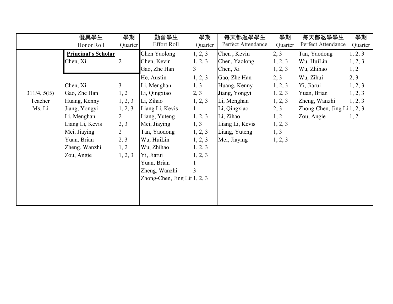|             | 優異學生                       | 學期             | 勤奮學生                         | 學期             | 每天都返學學生            | 學期      | 每天都返學學生                       | 學期      |
|-------------|----------------------------|----------------|------------------------------|----------------|--------------------|---------|-------------------------------|---------|
|             | Honor Roll                 | Quarter        | <b>Effort Roll</b>           | Quarter        | Perfect Attendance | Quarter | Perfect Attendance            | Quarter |
|             | <b>Principal's Scholar</b> |                | Chen Yaolong                 | 1, 2, 3        | Chen, Kevin        | 2, 3    | Tan, Yaodong                  | 1, 2, 3 |
|             | Chen, Xi                   | $\overline{2}$ | Chen, Kevin                  | 1, 2, 3        | Chen, Yaolong      | 1, 2, 3 | Wu, HuiLin                    | 1, 2, 3 |
|             |                            |                | Gao, Zhe Han                 | 3 <sup>1</sup> | Chen, Xi           | 1, 2, 3 | Wu, Zhihao                    | 1, 2    |
|             |                            |                | He, Austin                   | 1, 2, 3        | Gao, Zhe Han       | 2, 3    | Wu, Zihui                     | 2, 3    |
|             | Chen, Xi                   | $\mathfrak{Z}$ | Li, Menghan                  | 1, 3           | Huang, Kenny       | 1, 2, 3 | Yi, Jiarui                    | 1, 2, 3 |
| 311/4, 5(B) | Gao, Zhe Han               | 1, 2           | Li, Qingxiao                 | 2, 3           | Jiang, Yongyi      | 1, 2, 3 | Yuan, Brian                   | 1, 2, 3 |
| Teacher     | Huang, Kenny               | 1, 2, 3        | Li, Zihao                    | 1, 2, 3        | Li, Menghan        | 1, 2, 3 | Zheng, Wanzhi                 | 1, 2, 3 |
| Ms. Li      | Jiang, Yongyi              | 1, 2, 3        | Liang Li, Kevis              | $\mathbf{1}$   | Li, Qingxiao       | 2, 3    | Zhong-Chen, Jing Li $1, 2, 3$ |         |
|             | Li, Menghan                | $\overline{2}$ | Liang, Yuteng                | 1, 2, 3        | Li, Zihao          | 1, 2    | Zou, Angie                    | 1, 2    |
|             | Liang Li, Kevis            | 2, 3           | Mei, Jiaying                 | 1, 3           | Liang Li, Kevis    | 1, 2, 3 |                               |         |
|             | Mei, Jiaying               | $\overline{2}$ | Tan, Yaodong                 | 1, 2, 3        | Liang, Yuteng      | 1, 3    |                               |         |
|             | Yuan, Brian                | 2, 3           | Wu, HuiLin                   | 1, 2, 3        | Mei, Jiaying       | 1, 2, 3 |                               |         |
|             | Zheng, Wanzhi              | 1, 2           | Wu, Zhihao                   | 1, 2, 3        |                    |         |                               |         |
|             | Zou, Angie                 | 1, 2, 3        | Yi, Jiarui                   | 1, 2, 3        |                    |         |                               |         |
|             |                            |                | Yuan, Brian                  |                |                    |         |                               |         |
|             |                            |                | Zheng, Wanzhi                | $\overline{3}$ |                    |         |                               |         |
|             |                            |                | Zhong-Chen, Jing Lir 1, 2, 3 |                |                    |         |                               |         |
|             |                            |                |                              |                |                    |         |                               |         |
|             |                            |                |                              |                |                    |         |                               |         |
|             |                            |                |                              |                |                    |         |                               |         |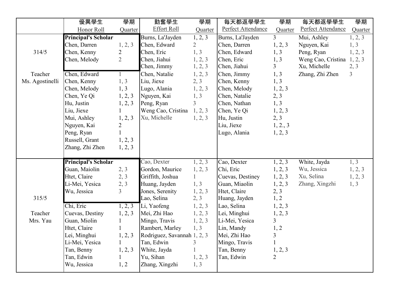|                 | 優異學生                           | 學期                     | 勤奮學生                                      | 學期              | 每天都返學學生                       | 學期                        | 每天都返學學生            | 學期             |
|-----------------|--------------------------------|------------------------|-------------------------------------------|-----------------|-------------------------------|---------------------------|--------------------|----------------|
|                 | Honor Roll                     | Quarter                | <b>Effort Roll</b>                        | Quarter         | Perfect Attendance            | Quarter                   | Perfect Attendance | Quarter        |
|                 | <b>Principal's Scholar</b>     |                        | Burns, La'Jayden                          | 1, 2, 3         | Burns, La'Jayden              | $\overline{3}$            | Mui, Ashley        | 1, 2, 3        |
|                 | Chen, Darren                   | 1, 2, 3                | Chen, Edward                              | $\overline{2}$  | Chen, Darren                  | 1, 2, 3                   | Nguyen, Kai        | 1, 3           |
| 314/5           | Chen, Kenny                    | $\overline{2}$         | Chen, Eric                                | 1, 3            | Chen, Edward                  | 1, 3                      | Peng, Ryan         | 1, 2, 3        |
|                 | Chen, Melody                   | $\overline{2}$         | Chen, Jiahui                              | 1, 2, 3         | Chen, Eric                    | 1, 3                      | Weng Cao, Cristina | 1, 2, 3        |
|                 |                                |                        | Chen, Jimmy                               | 1, 2, 3         | Chen, Jiahui                  | 3                         | Xu, Michelle       | 2, 3           |
| Teacher         | Chen, Edward                   |                        | Chen, Natalie                             | 1, 2, 3         | Chen, Jimmy                   | 1, 3                      | Zhang, Zhi Zhen    | $\mathfrak{Z}$ |
| Ms. Agostinelli | Chen, Kenny                    | 1, 3                   | Liu, Jiexe                                | 2, 3            | Chen, Kenny                   | 1, 3                      |                    |                |
|                 | Chen, Melody                   | 1, 3                   | Lugo, Alania                              | 1, 2, 3         | Chen, Melody                  | 1, 2, 3                   |                    |                |
|                 | Chen, Ye Qi                    | 1, 2, 3                | Nguyen, Kai                               | 1, 3            | Chen, Natalie                 | 2, 3                      |                    |                |
|                 | Hu, Justin                     | 1, 2, 3                | Peng, Ryan                                | $\overline{3}$  | Chen, Nathan                  | 1, 3                      |                    |                |
|                 | Liu, Jiexe                     |                        | Weng Cao, Cristina                        | 1, 2, 3         | Chen, Ye Qi                   | 1, 2, 3                   |                    |                |
|                 | Mui, Ashley                    | 1, 2, 3                | Xu, Michelle                              | 1, 2, 3         | Hu, Justin                    | 2, 3                      |                    |                |
|                 | Nguyen, Kai                    | $\overline{2}$         |                                           |                 | Liu, Jiexe                    | 1, 2., 3                  |                    |                |
|                 | Peng, Ryan                     | $\mathbf{1}$           |                                           |                 | Lugo, Alania                  | 1, 2, 3                   |                    |                |
|                 | Russell, Grant                 | 1, 2, 3                |                                           |                 |                               |                           |                    |                |
|                 | Zhang, Zhi Zhen                | 1, 2, 3                |                                           |                 |                               |                           |                    |                |
|                 |                                |                        |                                           |                 |                               |                           |                    |                |
|                 | <b>Principal's Scholar</b>     |                        | Cao, Dexter                               | 1, 2, 3         | Cao, Dexter                   | 1, 2, 3                   | White, Jayda       | 1, 3           |
|                 | Guan, Maiolin                  | 2, 3                   | Gordon, Maurice                           | 1, 2, 3         | Chi, Eric                     | 1, 2, 3                   | Wu, Jessica        | 1, 2, 3        |
|                 | Htet, Claire                   | 2, 3                   | Griffith, Joshua                          | $\mathbf{1}$    | Cuevas, Destiney              | 1, 2, 3                   | Xu, Selina         | 1, 2, 3        |
|                 | Li-Mei, Yesica                 | 2, 3<br>$\overline{3}$ | Huang, Jayden                             | 1, 3            | Guan, Miaolin                 | 1, 2, 3                   | Zhang, Xingzhi     | 1, 3           |
| 315/5           | Wu, Jessica                    |                        | Jones, Serenity<br>Lao, Selina            | 1, 2, 3         | Htet, Claire<br>Huang, Jayden | 2, 3                      |                    |                |
|                 | Chi, Eric                      |                        |                                           | 2, 3            |                               | 1, 2                      |                    |                |
|                 |                                | 1, 2, 3                | Li, Yaofeng                               | 1, 2, 3         | Lao, Selina                   | 1, 2, 3                   |                    |                |
| Teacher         | Cuevas, Destiny                | 1, 2, 3                | Mei, Zhi Hao                              | 1, 2, 3         | Lei, Minghui                  | 1, 2, 3<br>3              |                    |                |
| Mrs. Yau        | Guan, Miolin<br>Htet, Claire   | 1                      | Mingo, Travis<br>Rambert, Marley          | 1, 2, 3<br>1, 3 | Li-Mei, Yesica                |                           |                    |                |
|                 |                                |                        |                                           |                 | Lin, Mandy                    | 1, 2                      |                    |                |
|                 | Lei, Minghui<br>Li-Mei, Yesica | 1, 2, 3                | Rodriguez, Savannah 1, 2, 3<br>Tan, Edwin | 3               | Mei, Zhi Hao<br>Mingo, Travis | 3<br>$\mathbf{1}$         |                    |                |
|                 | Tan, Benny                     |                        | White, Jayda                              | 1               | Tan, Benny                    |                           |                    |                |
|                 | Tan, Edwin                     | 1, 2, 3<br>-1          | Yu, Sihan                                 |                 | Tan, Edwin                    | 1, 2, 3<br>$\overline{2}$ |                    |                |
|                 |                                |                        |                                           | 1, 2, 3         |                               |                           |                    |                |
|                 | Wu, Jessica                    | 1, 2                   | Zhang, Xingzhi                            | 1, 3            |                               |                           |                    |                |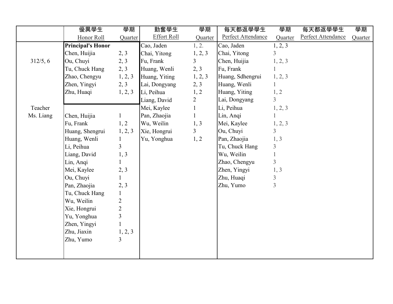|           | 優異學生                     | 學期             | 勤奮學生               | 學期             | 每天都返學學生            | 學期             | 每天都返學學生            | 學期      |
|-----------|--------------------------|----------------|--------------------|----------------|--------------------|----------------|--------------------|---------|
|           | Honor Roll               | Quarter        | <b>Effort Roll</b> | Quarter        | Perfect Attendance | Quarter        | Perfect Attendance | Quarter |
|           | <b>Principal's Honor</b> |                | Cao, Jaden         | 1, 2.          | Cao, Jaden         | 1, 2, 3        |                    |         |
|           | Chen, Huijia             | 2, 3           | Chai, Yitong       | 1, 2, 3        | Chai, Yitong       | $\overline{3}$ |                    |         |
| 312/5, 6  | Ou, Chuyi                | 2, 3           | Fu, Frank          | $\overline{3}$ | Chen, Huijia       | 1, 2, 3        |                    |         |
|           | Tu, Chuck Hang           | 2, 3           | Huang, Wenli       | 2, 3           | Fu, Frank          |                |                    |         |
|           | Zhao, Chengyu            | 1, 2, 3        | Huang, Yiting      | 1, 2, 3        | Huang, Sdhengrui   | 1, 2, 3        |                    |         |
|           | Zhen, Yingyi             | 2, 3           | Lai, Dongyang      | 2, 3           | Huang, Wenli       |                |                    |         |
|           | Zhu, Huaqi               | 1, 2, 3        | Li, Peihua         | 1, 2           | Huang, Yiting      | 1, 2           |                    |         |
|           |                          |                | Liang, David       | $\overline{2}$ | Lai, Dongyang      | $\overline{3}$ |                    |         |
| Teacher   |                          |                | Mei, Kaylee        | $\mathbf{1}$   | Li, Peihua         | 1, 2, 3        |                    |         |
| Ms. Liang | Chen, Huijia             | $\mathbf{1}$   | Pan, Zhaojia       | $\mathbf{1}$   | Lin, Anqi          |                |                    |         |
|           | Fu, Frank                | 1, 2           | Wu, Weilin         | 1, 3           | Mei, Kaylee        | 1, 2, 3        |                    |         |
|           | Huang, Shengrui          | 1, 2, 3        | Xie, Hongrui       | $\overline{3}$ | Ou, Chuyi          | $\overline{3}$ |                    |         |
|           | Huang, Wenli             | 1              | Yu, Yonghua        | 1, 2           | Pan, Zhaojia       | 1, 3           |                    |         |
|           | Li, Peihua               | $\overline{3}$ |                    |                | Tu, Chuck Hang     | $\overline{3}$ |                    |         |
|           | Liang, David             | 1, 3           |                    |                | Wu, Weilin         |                |                    |         |
|           | Lin, Anqi                | $\mathbf{1}$   |                    |                | Zhao, Chengyu      | $\overline{3}$ |                    |         |
|           | Mei, Kaylee              | 2, 3           |                    |                | Zhen, Yingyi       | 1, 3           |                    |         |
|           | Ou, Chuyi                | $\mathbf{1}$   |                    |                | Zhu, Huaqi         | $\overline{3}$ |                    |         |
|           | Pan, Zhaojia             | 2, 3           |                    |                | Zhu, Yumo          | 3              |                    |         |
|           | Tu, Chuck Hang           | $\mathbf{1}$   |                    |                |                    |                |                    |         |
|           | Wu, Weilin               | $\sqrt{2}$     |                    |                |                    |                |                    |         |
|           | Xie, Hongrui             | $\overline{c}$ |                    |                |                    |                |                    |         |
|           | Yu, Yonghua              | $\overline{3}$ |                    |                |                    |                |                    |         |
|           | Zhen, Yingyi             |                |                    |                |                    |                |                    |         |
|           | Zhu, Jiaxin              | 1, 2, 3        |                    |                |                    |                |                    |         |
|           | Zhu, Yumo                | $\overline{3}$ |                    |                |                    |                |                    |         |
|           |                          |                |                    |                |                    |                |                    |         |
|           |                          |                |                    |                |                    |                |                    |         |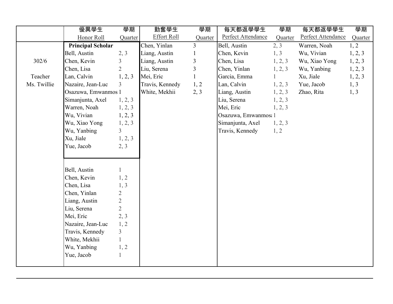|             | 優異學生                     | 學期             | 勤奮學生               | 學期             | 每天都返學學生              | 學期      | 每天都返學學生            | 學期      |
|-------------|--------------------------|----------------|--------------------|----------------|----------------------|---------|--------------------|---------|
|             | Honor Roll               | Quarter        | <b>Effort Roll</b> | Quarter        | Perfect Attendance   | Quarter | Perfect Attendance | Quarter |
|             | <b>Principal Scholar</b> |                | Chen, Yinlan       | $\overline{3}$ | Bell, Austin         | 2, 3    | Warren, Noah       | 1, 2    |
|             | Bell, Austin             | 2, 3           | Liang, Austin      | 1              | Chen, Kevin          | 1, 3    | Wu, Vivian         | 1, 2, 3 |
| 302/6       | Chen, Kevin              | $\overline{3}$ | Liang, Austin      | $\overline{3}$ | Chen, Lisa           | 1, 2, 3 | Wu, Xiao Yong      | 1, 2, 3 |
|             | Chen, Lisa               | $\overline{2}$ | Liu, Serena        | 3              | Chen, Yinlan         | 1, 2, 3 | Wu, Yanbing        | 1, 2, 3 |
| Teacher     | Lan, Calvin              | 1, 2, 3        | Mei, Eric          | $\mathbf{1}$   | Garcia, Emma         |         | Xu, Jiale          | 1, 2, 3 |
| Ms. Twillie | Nazaire, Jean-Luc        | $\overline{3}$ | Travis, Kennedy    | 1, 2           | Lan, Calvin          | 1, 2, 3 | Yue, Jacob         | 1, 3    |
|             | Osazuwa, Emwanmos 1      |                | White, Mekhii      | 2, 3           | Liang, Austin        | 1, 2, 3 | Zhao, Rita         | 1, 3    |
|             | Simanjunta, Axel         | 1, 2, 3        |                    |                | Liu, Serena          | 1, 2, 3 |                    |         |
|             | Warren, Noah             | 1, 2, 3        |                    |                | Mei, Eric            | 1, 2, 3 |                    |         |
|             | Wu, Vivian               | 1, 2, 3        |                    |                | Osazuwa, Emwanmos: 1 |         |                    |         |
|             | Wu, Xiao Yong            | 1, 2, 3        |                    |                | Simanjunta, Axel     | 1, 2, 3 |                    |         |
|             | Wu, Yanbing              | $\overline{3}$ |                    |                | Travis, Kennedy      | 1, 2    |                    |         |
|             | Xu, Jiale                | 1, 2, 3        |                    |                |                      |         |                    |         |
|             | Yue, Jacob               | 2, 3           |                    |                |                      |         |                    |         |
|             |                          |                |                    |                |                      |         |                    |         |
|             |                          |                |                    |                |                      |         |                    |         |
|             | Bell, Austin             |                |                    |                |                      |         |                    |         |
|             | Chen, Kevin              | 1, 2           |                    |                |                      |         |                    |         |
|             | Chen, Lisa               | 1, 3           |                    |                |                      |         |                    |         |
|             | Chen, Yinlan             | $\overline{2}$ |                    |                |                      |         |                    |         |
|             | Liang, Austin            | $\overline{2}$ |                    |                |                      |         |                    |         |
|             | Liu, Serena              | $\overline{2}$ |                    |                |                      |         |                    |         |
|             | Mei, Eric                | 2, 3           |                    |                |                      |         |                    |         |
|             | Nazaire, Jean-Luc        | 1, 2           |                    |                |                      |         |                    |         |
|             | Travis, Kennedy          | $\overline{3}$ |                    |                |                      |         |                    |         |
|             | White, Mekhii            |                |                    |                |                      |         |                    |         |
|             | Wu, Yanbing              | 1, 2           |                    |                |                      |         |                    |         |
|             | Yue, Jacob               |                |                    |                |                      |         |                    |         |
|             |                          |                |                    |                |                      |         |                    |         |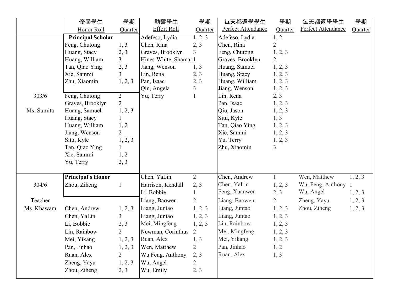|            | 優異學生                     | 學期             | 勤奮學生                  | 學期             | 每天都返學學生            | 學期             | 每天都返學學生             | 學期      |
|------------|--------------------------|----------------|-----------------------|----------------|--------------------|----------------|---------------------|---------|
|            | Honor Roll               | Quarter        | <b>Effort Roll</b>    | Quarter        | Perfect Attendance | Quarter        | Perfect Attendance  | Quarter |
|            | <b>Principal Scholar</b> |                | Adefeso, Lydia        | 1, 2, 3        | Adefeso, Lydia     | 1, 2           |                     |         |
|            | Feng, Chutong            | 1, 3           | Chen, Rina            | 2, 3           | Chen, Rina         | $\overline{2}$ |                     |         |
|            | Huang, Stacy             | 2, 3           | Graves, Brooklyn      | 3              | Feng, Chutong      | 1, 2, 3        |                     |         |
|            | Huang, William           | $\overline{3}$ | Hines-White, Shamar 1 |                | Graves, Brooklyn   | $\overline{2}$ |                     |         |
|            | Tan, Qiao Ying           | 2, 3           | Jiang, Wenson         | 1, 3           | Huang, Samuel      | 1, 2, 3        |                     |         |
|            | Xie, Sammi               | 3              | Lin, Rena             | 2, 3           | Huang, Stacy       | 1, 2, 3        |                     |         |
|            | Zhu, Xiaomin             | 1, 2, 3        | Pan, Isaac            | 2, 3           | Huang, William     | 1, 2, 3        |                     |         |
|            |                          |                | Qin, Angela           | 3              | Jiang, Wenson      | 1, 2, 3        |                     |         |
| 303/6      | Feng, Chutong            | $\overline{2}$ | Yu, Terry             |                | Lin, Rena          | 2, 3           |                     |         |
|            | Graves, Brooklyn         | $\overline{2}$ |                       |                | Pan, Isaac         | 1, 2, 3        |                     |         |
| Ms. Sumita | Huang, Samuel            | 1, 2, 3        |                       |                | Qiu, Jason         | 1, 2, 3        |                     |         |
|            | Huang, Stacy             |                |                       |                | Situ, Kyle         | 1, 3           |                     |         |
|            | Huang, William           | 1, 2           |                       |                | Tan, Qiao Ying     | 1, 2, 3        |                     |         |
|            | Jiang, Wenson            | $\overline{2}$ |                       |                | Xie, Sammi         | 1, 2, 3        |                     |         |
|            | Situ, Kyle               | 1, 2, 3        |                       |                | Yu, Terry          | 1, 2, 3        |                     |         |
|            | Tan, Qiao Ying           |                |                       |                | Zhu, Xiaomin       | $\mathfrak{Z}$ |                     |         |
|            | Xie, Sammi               | 1, 2           |                       |                |                    |                |                     |         |
|            | Yu, Terry                | 2, 3           |                       |                |                    |                |                     |         |
|            | <b>Principal's Honor</b> |                | Chen, YaLin           | $\overline{2}$ | Chen, Andrew       | $\mathbf{1}$   | Wen, Matthew        | 1, 2, 3 |
| 304/6      | Zhou, Ziheng             | $\mathbf{1}$   | Harrison, Kendall     | 2, 3           | Chen, YaLin        | 1, 2, 3        | Wu, Feng, Anthony 1 |         |
|            |                          |                | Li, Bobbie            |                | Feng, Xuanwen      | 2, 3           | Wu, Angel           | 1, 2, 3 |
| Teacher    |                          |                | Liang, Baowen         | $\overline{2}$ | Liang, Baowen      | $\overline{2}$ | Zheng, Yayu         | 1, 2, 3 |
| Ms. Khawam | Chen, Andrew             | 1, 2, 3        | Liang, Juntao         | 1, 2, 3        | Liang, Juntao      | 1, 2, 3        | Zhou, Ziheng        | 1, 2, 3 |
|            | Chen, YaLin              | $\overline{3}$ | Liang, Juntao         | 1, 2, 3        | Liang, Juntao      | 1, 2, 3        |                     |         |
|            | Li, Bobbie               | 2, 3           | Mei, Mingfeng         | 1, 2, 3        | Lin, Rainbow       | 1, 2, 3        |                     |         |
|            | Lin, Rainbow             | $\overline{2}$ | Newman, Corinthus 2   |                | Mei, Mingfeng      | 1, 2, 3        |                     |         |
|            | Mei, Yikang              | 1, 2, 3        | Ruan, Alex            | 1, 3           | Mei, Yikang        | 1, 2, 3        |                     |         |
|            | Pan, Jinhao              | 1, 2, 3        | Wen, Matthew          | $\overline{2}$ | Pan, Jinhao        | 1, 2           |                     |         |
|            | Ruan, Alex               | $\overline{2}$ | Wu Feng, Anthony      | 2, 3           | Ruan, Alex         | 1, 3           |                     |         |
|            | Zheng, Yayu              | 1, 2, 3        | Wu, Angel             | $\overline{2}$ |                    |                |                     |         |
|            | Zhou, Ziheng             | 2, 3           | Wu, Emily             | 2, 3           |                    |                |                     |         |
|            |                          |                |                       |                |                    |                |                     |         |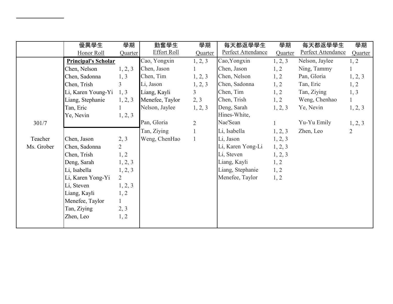|            | 優異學生                       | 學期             | 勤奮學生                              | 學期             | 每天都返學學生            | 學期      | 每天都返學學生            | 學期             |
|------------|----------------------------|----------------|-----------------------------------|----------------|--------------------|---------|--------------------|----------------|
|            | Honor Roll                 | Quarter        | <b>Effort Roll</b>                | Quarter        | Perfect Attendance | Quarter | Perfect Attendance | Quarter        |
|            | <b>Principal's Scholar</b> |                | $\overline{\text{C}}$ ao, Yongxin | 1, 2, 3        | Cao, Yongxin       | 1, 2, 3 | Nelson, Jaylee     | 1, 2           |
|            | Chen, Nelson               | 1, 2, 3        | Chen, Jason                       |                | Chen, Jason        | 1, 2    | Ning, Tammy        |                |
|            | Chen, Sadonna              | 1, 3           | Chen, Tim                         | 1, 2, 3        | Chen, Nelson       | 1, 2    | Pan, Gloria        | 1, 2, 3        |
|            | Chen, Trish                | $\overline{3}$ | Li, Jason                         | 1, 2, 3        | Chen, Sadonna      | 1, 2    | Tan, Eric          | 1, 2           |
|            | Li, Karen Young-Yi         | 1, 3           | Liang, Kayli                      | $\overline{3}$ | Chen, Tim          | 1, 2    | Tan, Ziying        | 1, 3           |
|            | Liang, Stephanie           | 1, 2, 3        | Menefee, Taylor                   | 2, 3           | Chen, Trish        | 1, 2    | Weng, Chenhao      | $\mathbf{1}$   |
|            | Tan, Eric                  | 1              | Nelson, Jaylee                    | 1, 2, 3        | Deng, Sarah        | 1, 2, 3 | Ye, Nevin          | 1, 2, 3        |
|            | Ye, Nevin                  | 1, 2, 3        |                                   |                | Hines-White,       |         |                    |                |
| 301/7      |                            |                | Pan, Gloria                       | $\overline{2}$ | Nae'Sean           |         | Yu-Yu Emily        | 1, 2, 3        |
|            |                            |                | Tan, Ziying                       |                | Li, Isabella       | 1, 2, 3 | Zhen, Leo          | $\overline{2}$ |
| Teacher    | Chen, Jason                | 2, 3           | Weng, ChenHao                     |                | Li, Jason          | 1, 2, 3 |                    |                |
| Ms. Grober | Chen, Sadonna              | $\overline{2}$ |                                   |                | Li, Karen Yong-Li  | 1, 2, 3 |                    |                |
|            | Chen, Trish                | 1, 2           |                                   |                | Li, Steven         | 1, 2, 3 |                    |                |
|            | Deng, Sarah                | 1, 2, 3        |                                   |                | Liang, Kayli       | 1, 2    |                    |                |
|            | Li, Isabella               | 1, 2, 3        |                                   |                | Liang, Stephanie   | 1, 2    |                    |                |
|            | Li, Karen Yong-Yi          | $\overline{2}$ |                                   |                | Menefee, Taylor    | 1, 2    |                    |                |
|            | Li, Steven                 | 1, 2, 3        |                                   |                |                    |         |                    |                |
|            | Liang, Kayli               | 1, 2           |                                   |                |                    |         |                    |                |
|            | Menefee, Taylor            | 1              |                                   |                |                    |         |                    |                |
|            | Tan, Ziying                | 2, 3           |                                   |                |                    |         |                    |                |
|            | Zhen, Leo                  | 1, 2           |                                   |                |                    |         |                    |                |
|            |                            |                |                                   |                |                    |         |                    |                |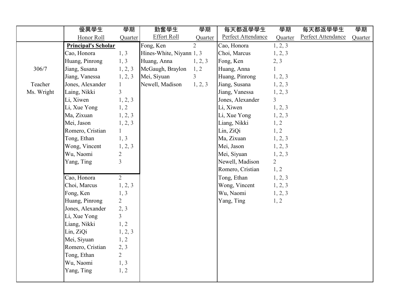|            | 優異學生                       | 學期             | 勤奮學生                     | 學期             | 每天都返學學生            | 學期             | 每天都返學學生            | 學期      |
|------------|----------------------------|----------------|--------------------------|----------------|--------------------|----------------|--------------------|---------|
|            | Honor Roll                 | Quarter        | <b>Effort Roll</b>       | Quarter        | Perfect Attendance | Quarter        | Perfect Attendance | Quarter |
|            | <b>Principal's Scholar</b> |                | Fong, Ken                | $\overline{2}$ | Cao, Honora        | 1, 2, 3        |                    |         |
|            | Cao, Honora                | 1, 3           | Hines-White, Niyann 1, 3 |                | Choi, Marcus       | 1, 2, 3        |                    |         |
|            | Huang, Pinrong             | 1, 3           | Huang, Anna              | 1, 2, 3        | Fong, Ken          | 2, 3           |                    |         |
| 306/7      | Jiang, Susana              | 1, 2, 3        | McGaugh, Braylon         | 1, 2           | Huang, Anna        | $\mathbf{1}$   |                    |         |
|            | Jiang, Vanessa             | 1, 2, 3        | Mei, Siyuan              | $\overline{3}$ | Huang, Pinrong     | 1, 2, 3        |                    |         |
| Teacher    | Jones, Alexander           | $\mathbf{1}$   | Newell, Madison          | 1, 2, 3        | Jiang, Susana      | 1, 2, 3        |                    |         |
| Ms. Wright | Laing, Nikki               | $\overline{3}$ |                          |                | Jiang, Vanessa     | 1, 2, 3        |                    |         |
|            | Li, Xiwen                  | 1, 2, 3        |                          |                | Jones, Alexander   | $\overline{3}$ |                    |         |
|            | Li, Xue Yong               | 1, 2           |                          |                | Li, Xiwen          | 1, 2, 3        |                    |         |
|            | Ma, Zixuan                 | 1, 2, 3        |                          |                | Li, Xue Yong       | 1, 2, 3        |                    |         |
|            | Mei, Jason                 | 1, 2, 3        |                          |                | Liang, Nikki       | 1, 2           |                    |         |
|            | Romero, Cristian           | $\mathbf{1}$   |                          |                | Lin, ZiQi          | 1, 2           |                    |         |
|            | Tong, Ethan                | 1, 3           |                          |                | Ma, Zixuan         | 1, 2, 3        |                    |         |
|            | Wong, Vincent              | 1, 2, 3        |                          |                | Mei, Jason         | 1, 2, 3        |                    |         |
|            | Wu, Naomi                  | $\overline{c}$ |                          |                | Mei, Siyuan        | 1, 2, 3        |                    |         |
|            | Yang, Ting                 | $\overline{3}$ |                          |                | Newell, Madison    | $\overline{2}$ |                    |         |
|            |                            |                |                          |                | Romero, Cristian   | 1, 2           |                    |         |
|            | Cao, Honora                | $\overline{2}$ |                          |                | Tong, Ethan        | 1, 2, 3        |                    |         |
|            | Choi, Marcus               | 1, 2, 3        |                          |                | Wong, Vincent      | 1, 2, 3        |                    |         |
|            | Fong, Ken                  | 1, 3           |                          |                | Wu, Naomi          | 1, 2, 3        |                    |         |
|            | Huang, Pinrong             | $\overline{2}$ |                          |                | Yang, Ting         | 1, 2           |                    |         |
|            | Jones, Alexander           | 2, 3           |                          |                |                    |                |                    |         |
|            | Li, Xue Yong               | $\overline{3}$ |                          |                |                    |                |                    |         |
|            | Liang, Nikki               | 1, 2           |                          |                |                    |                |                    |         |
|            | Lin, ZiQi                  | 1, 2, 3        |                          |                |                    |                |                    |         |
|            | Mei, Siyuan                | 1, 2           |                          |                |                    |                |                    |         |
|            | Romero, Cristian           | 2, 3           |                          |                |                    |                |                    |         |
|            | Tong, Ethan                | $\overline{2}$ |                          |                |                    |                |                    |         |
|            | Wu, Naomi                  | 1, 3           |                          |                |                    |                |                    |         |
|            | Yang, Ting                 | 1, 2           |                          |                |                    |                |                    |         |
|            |                            |                |                          |                |                    |                |                    |         |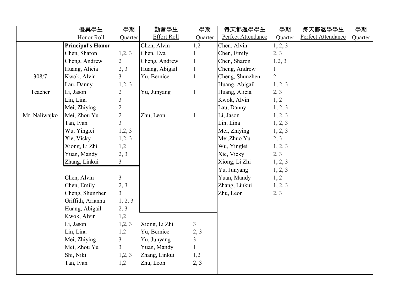|               | 優異學生                     | 學期                      | 勤奮學生               | 學期             | 每天都返學學生            | 學期             | 每天都返學學生            | 學期      |
|---------------|--------------------------|-------------------------|--------------------|----------------|--------------------|----------------|--------------------|---------|
|               | Honor Roll               | Quarter                 | <b>Effort Roll</b> | Quarter        | Perfect Attendance | Quarter        | Perfect Attendance | Quarter |
|               | <b>Principal's Honor</b> |                         | Chen, Alvin        | 1,2            | Chen, Alvin        | 1, 2, 3        |                    |         |
|               | Chen, Sharon             | 1,2,3                   | Chen, Eva          |                | Chen, Emily        | 2, 3           |                    |         |
|               | Cheng, Andrew            | $\overline{2}$          | Cheng, Andrew      | $\mathbf{1}$   | Chen, Sharon       | 1,2,3          |                    |         |
|               | Huang, Alicia            | 2, 3                    | Huang, Abigail     | $\mathbf{1}$   | Cheng, Andrew      | $\mathbf{1}$   |                    |         |
| 308/7         | Kwok, Alvin              | $\overline{3}$          | Yu, Bernice        | $\mathbf{1}$   | Cheng, Shunzhen    | $\overline{2}$ |                    |         |
|               | Lau, Danny               | 1,2,3                   |                    |                | Huang, Abigail     | 1, 2, 3        |                    |         |
| Teacher       | Li, Jason                | $\overline{2}$          | Yu, Junyang        | $\mathbf{1}$   | Huang, Alicia      | 2, 3           |                    |         |
|               | Lin, Lina                | $\overline{\mathbf{3}}$ |                    |                | Kwok, Alvin        | 1, 2           |                    |         |
|               | Mei, Zhiying             | $\overline{2}$          |                    |                | Lau, Danny         | 1, 2, 3        |                    |         |
| Mr. Naliwajko | Mei, Zhou Yu             | $\overline{2}$          | Zhu, Leon          | $\mathbf{1}$   | Li, Jason          | 1, 2, 3        |                    |         |
|               | Tan, Ivan                | $\overline{3}$          |                    |                | Lin, Lina          | 1, 2, 3        |                    |         |
|               | Wu, Yinglei              | 1,2,3                   |                    |                | Mei, Zhiying       | 1, 2, 3        |                    |         |
|               | Xie, Vicky               | 1,2,3                   |                    |                | Mei, Zhuo Yu       | 2, 3           |                    |         |
|               | Xiong, Li Zhi            | 1,2                     |                    |                | Wu, Yinglei        | 1, 2, 3        |                    |         |
|               | Yuan, Mandy              | 2, 3                    |                    |                | Xie, Vicky         | 2, 3           |                    |         |
|               | Zhang, Linkui            | $\overline{3}$          |                    |                | Xiong, Li Zhi      | 1, 2, 3        |                    |         |
|               |                          |                         |                    |                | Yu, Junyang        | 1, 2, 3        |                    |         |
|               | Chen, Alvin              | $\mathfrak{Z}$          |                    |                | Yuan, Mandy        | 1, 2           |                    |         |
|               | Chen, Emily              | 2, 3                    |                    |                | Zhang, Linkui      | 1, 2, 3        |                    |         |
|               | Cheng, Shunzhen          | $\overline{3}$          |                    |                | Zhu, Leon          | 2, 3           |                    |         |
|               | Griffith, Arianna        | 1, 2, 3                 |                    |                |                    |                |                    |         |
|               | Huang, Abigail           | 2, 3                    |                    |                |                    |                |                    |         |
|               | Kwok, Alvin              | 1,2                     |                    |                |                    |                |                    |         |
|               | Li, Jason                | 1,2,3                   | Xiong, Li Zhi      | $\mathfrak{Z}$ |                    |                |                    |         |
|               | Lin, Lina                | 1,2                     | Yu, Bernice        | 2, 3           |                    |                |                    |         |
|               | Mei, Zhiying             | $\overline{3}$          | Yu, Junyang        | $\overline{3}$ |                    |                |                    |         |
|               | Mei, Zhou Yu             | $\overline{3}$          | Yuan, Mandy        | $\mathbf{1}$   |                    |                |                    |         |
|               | Shi, Niki                | 1,2,3                   | Zhang, Linkui      | 1,2            |                    |                |                    |         |
|               | Tan, Ivan                | 1,2                     | Zhu, Leon          | 2, 3           |                    |                |                    |         |
|               |                          |                         |                    |                |                    |                |                    |         |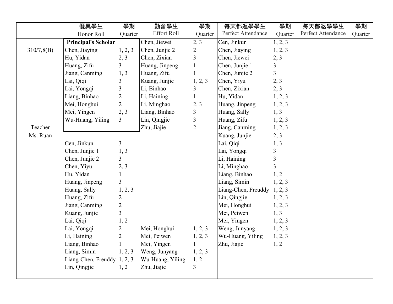|            | 優異學生                        | 學期                      | 勤奮學生             | 學期             | 每天都返學學生                     | 學期             | 每天都返學學生            | 學期      |
|------------|-----------------------------|-------------------------|------------------|----------------|-----------------------------|----------------|--------------------|---------|
|            | Honor Roll                  | Quarter                 | Effort Roll      | Quarter        | Perfect Attendance          | Quarter        | Perfect Attendance | Quarter |
|            | <b>Principal's Scholar</b>  |                         | Chen, Jiewei     | 2, 3           | Cen, Jinkun                 | 1, 2, 3        |                    |         |
| 310/7,8(B) | Chen, Jiaying               | 1, 2, 3                 | Chen, Junjie 2   | $\overline{2}$ | Chen, Jiaying               | 1, 2, 3        |                    |         |
|            | Hu, Yidan                   | 2, 3                    | Chen, Zixian     | $\overline{3}$ | Chen, Jiewei                | 2, 3           |                    |         |
|            | Huang, Zifu                 | $\overline{3}$          | Huang, Jinpeng   | $\mathbf{1}$   | Chen, Junjie 1              | $\overline{3}$ |                    |         |
|            | Jiang, Canming              | 1, 3                    | Huang, Zifu      | $\mathbf{1}$   | Chen, Junjie 2              | $\overline{3}$ |                    |         |
|            | Lai, Qiqi                   | $\mathfrak{Z}$          | Kuang, Junjie    | 1, 2, 3        | Chen, Yiyu                  | 2, 3           |                    |         |
|            | Lai, Yongqi                 | $\overline{\mathbf{3}}$ | Li, Binhao       | $\mathfrak{Z}$ | Chen, Zixian                | 2, 3           |                    |         |
|            | Liang, Binhao               | $\overline{c}$          | Li, Haining      | $\mathbf{1}$   | Hu, Yidan                   | 1, 2, 3        |                    |         |
|            | Mei, Honghui                | $\overline{2}$          | Li, Minghao      | 2, 3           | Huang, Jinpeng              | 1, 2, 3        |                    |         |
|            | Mei, Yingen                 | 2, 3                    | Liang, Binhao    | $\overline{3}$ | Huang, Sally                | 1, 3           |                    |         |
|            | Wu-Huang, Yiling            | 3                       | Lin, Qingjie     | $\overline{3}$ | Huang, Zifu                 | 1, 2, 3        |                    |         |
| Teacher    |                             |                         | Zhu, Jiajie      | $\overline{2}$ | Jiang, Canming              | 1, 2, 3        |                    |         |
| Ms. Ruan   |                             |                         |                  |                | Kuang, Junjie               | 2, 3           |                    |         |
|            | Cen, Jinkun                 | $\mathfrak{Z}$          |                  |                | Lai, Qiqi                   | 1, 3           |                    |         |
|            | Chen, Junjie 1              | 1, 3                    |                  |                | Lai, Yongqi                 | $\mathfrak{Z}$ |                    |         |
|            | Chen, Junjie 2              | $\overline{3}$          |                  |                | Li, Haining                 | $\overline{3}$ |                    |         |
|            | Chen, Yiyu                  | 2, 3                    |                  |                | Li, Minghao                 | $\overline{3}$ |                    |         |
|            | Hu, Yidan                   | $\mathbf{1}$            |                  |                | Liang, Binhao               | 1, 2           |                    |         |
|            | Huang, Jinpeng              | $\overline{3}$          |                  |                | Liang, Simin                | 1, 2, 3        |                    |         |
|            | Huang, Sally                | 1, 2, 3                 |                  |                | Liang-Chen, Freuddy 1, 2, 3 |                |                    |         |
|            | Huang, Zifu                 | $\overline{c}$          |                  |                | Lin, Qingjie                | 1, 2, 3        |                    |         |
|            | Jiang, Canming              | $\overline{2}$          |                  |                | Mei, Honghui                | 1, 2, 3        |                    |         |
|            | Kuang, Junjie               | $\overline{3}$          |                  |                | Mei, Peiwen                 | 1, 3           |                    |         |
|            | Lai, Qiqi                   | 1, 2                    |                  |                | Mei, Yingen                 | 1, 2, 3        |                    |         |
|            | Lai, Yongqi                 | $\overline{2}$          | Mei, Honghui     | 1, 2, 3        | Weng, Junyang               | 1, 2, 3        |                    |         |
|            | Li, Haining                 | $\overline{2}$          | Mei, Peiwen      | 1, 2, 3        | Wu-Huang, Yiling            | 1, 2, 3        |                    |         |
|            | Liang, Binhao               | $\mathbf{1}$            | Mei, Yingen      | $\mathbf{1}$   | Zhu, Jiajie                 | 1, 2           |                    |         |
|            | Liang, Simin                | 1, 2, 3                 | Weng, Junyang    | 1, 2, 3        |                             |                |                    |         |
|            | Liang-Chen, Freuddy 1, 2, 3 |                         | Wu-Huang, Yiling | 1, 2           |                             |                |                    |         |
|            | Lin, Qingjie                | 1, 2                    | Zhu, Jiajie      | $\overline{3}$ |                             |                |                    |         |
|            |                             |                         |                  |                |                             |                |                    |         |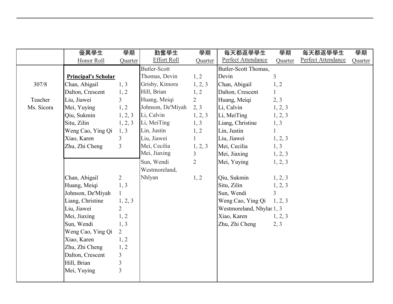|            | 優異學生                       | 學期             | 勤奮學生                | 學期             | 每天都返學學生                   | 學期             | 每天都返學學生            | 學期      |
|------------|----------------------------|----------------|---------------------|----------------|---------------------------|----------------|--------------------|---------|
|            | Honor Roll                 | Quarter        | <b>Effort Roll</b>  | Quarter        | Perfect Attendance        | Quarter        | Perfect Attendance | Quarter |
|            |                            |                | <b>Butler-Scott</b> |                | Butler-Scott Thomas,      |                |                    |         |
|            | <b>Principal's Scholar</b> |                | Thomas, Devin       | 1, 2           | Devin                     | $\overline{3}$ |                    |         |
| 307/8      | Chan, Abigail              | 1, 3           | Grisby, Kimora      | 1, 2, 3        | Chan, Abigail             | 1, 2           |                    |         |
|            | Dalton, Crescent           | 1, 2           | Hill, Brian         | 1, 2           | Dalton, Crescent          | $\mathbf{1}$   |                    |         |
| Teacher    | Liu, Jiawei                | $\overline{3}$ | Huang, Meiqi        | $\overline{2}$ | Huang, Meiqi              | 2, 3           |                    |         |
| Ms. Sicora | Mei, Yuying                | 1, 2           | Johnson, De'Miyah   | 2, 3           | Li, Calvin                | 1, 2, 3        |                    |         |
|            | Qiu, Sukmin                | 1, 2, 3        | Li, Calvin          | 1, 2, 3        | Li, MeiTing               | 1, 2, 3        |                    |         |
|            | Situ, Zilin                | 1, 2, 3        | Li, MeiTing         | 1, 3           | Liang, Christine          | 1, 3           |                    |         |
|            | Weng Cao, Ying Qi          | 1, 3           | Lin, Justin         | 1, 2           | Lin, Justin               | $\mathbf{1}$   |                    |         |
|            | Xiao, Karen                | $\overline{3}$ | Liu, Jiawei         | $\mathbf{1}$   | Liu, Jiawei               | 1, 2, 3        |                    |         |
|            | Zhu, Zhi Cheng             | $\overline{3}$ | Mei, Cecilia        | 1, 2, 3        | Mei, Cecilia              | 1, 3           |                    |         |
|            |                            |                | Mei, Jiaxing        | $\overline{3}$ | Mei, Jiaxing              | 1, 2, 3        |                    |         |
|            |                            |                | Sun, Wendi          | $\overline{2}$ | Mei, Yuying               | 1, 2, 3        |                    |         |
|            |                            |                | Westmoreland,       |                |                           |                |                    |         |
|            | Chan, Abigail              | $\overline{2}$ | Nhlyan              | 1, 2           | Qiu, Sukmin               | 1, 2, 3        |                    |         |
|            | Huang, Meiqi               | 1, 3           |                     |                | Situ, Zilin               | 1, 2, 3        |                    |         |
|            | Johnson, De'Miyah          | 1              |                     |                | Sun, Wendi                | $\overline{3}$ |                    |         |
|            | Liang, Christine           | 1, 2, 3        |                     |                | Weng Cao, Ying Qi         | 1, 2, 3        |                    |         |
|            | Liu, Jiawei                | $\overline{2}$ |                     |                | Westmoreland, Nhylar 1, 3 |                |                    |         |
|            | Mei, Jiaxing               | 1, 2           |                     |                | Xiao, Karen               | 1, 2, 3        |                    |         |
|            | Sun, Wendi                 | 1, 3           |                     |                | Zhu, Zhi Cheng            | 2, 3           |                    |         |
|            | Weng Cao, Ying Qi          | $\overline{2}$ |                     |                |                           |                |                    |         |
|            | Xiao, Karen                | 1, 2           |                     |                |                           |                |                    |         |
|            | Zhu, Zhi Cheng             | 1, 2           |                     |                |                           |                |                    |         |
|            | Dalton, Crescent           | $\overline{3}$ |                     |                |                           |                |                    |         |
|            | Hill, Brian                | $\overline{3}$ |                     |                |                           |                |                    |         |
|            | Mei, Yuying                | 3              |                     |                |                           |                |                    |         |
|            |                            |                |                     |                |                           |                |                    |         |